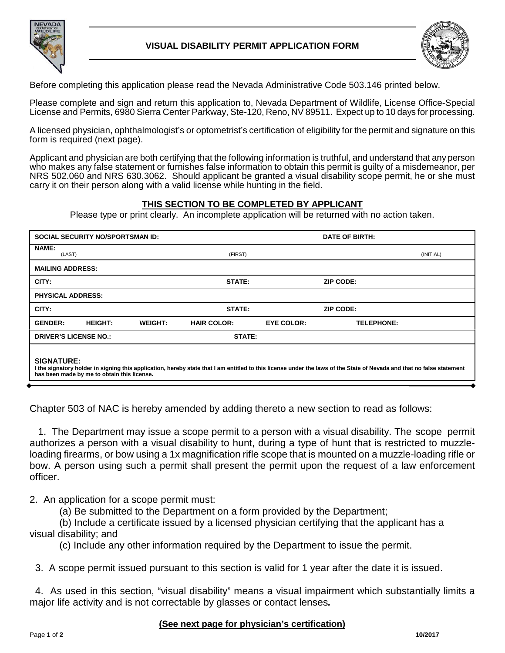

## **VISUAL DISABILITY PERMIT APPLICATION FORM**



Before completing this application please read the Nevada Administrative Code 503.146 printed below.

Please complete and sign and return this application to, Nevada Department of Wildlife, License Office-Special License and Permits, 6980 Sierra Center Parkway, Ste-120, Reno, NV 89511. Expect up to 10 days for processing.

A licensed physician, ophthalmologist's or optometrist's certification of eligibility for the permit and signature on this form is required (next page).

Applicant and physician are both certifying that the following information is truthful, and understand that any person who makes any false statement or furnishes false information to obtain this permit is guilty of a misdemeanor, per NRS 502.060 and NRS 630.3062. Should applicant be granted a visual disability scope permit, he or she must carry it on their person along with a valid license while hunting in the field.

### **THIS SECTION TO BE COMPLETED BY APPLICANT**

Please type or print clearly. An incomplete application will be returned with no action taken.

|                                                                                                                                                                                                                                           | <b>SOCIAL SECURITY NO/SPORTSMAN ID:</b> |                |                    |                   | DATE OF BIRTH:    |           |  |
|-------------------------------------------------------------------------------------------------------------------------------------------------------------------------------------------------------------------------------------------|-----------------------------------------|----------------|--------------------|-------------------|-------------------|-----------|--|
| NAME:<br>(LAST)                                                                                                                                                                                                                           |                                         |                | (FIRST)            |                   |                   | (INITIAL) |  |
| <b>MAILING ADDRESS:</b>                                                                                                                                                                                                                   |                                         |                |                    |                   |                   |           |  |
| CITY:                                                                                                                                                                                                                                     |                                         |                | STATE:             |                   | <b>ZIP CODE:</b>  |           |  |
| <b>PHYSICAL ADDRESS:</b>                                                                                                                                                                                                                  |                                         |                |                    |                   |                   |           |  |
| CITY:                                                                                                                                                                                                                                     |                                         |                | STATE:             |                   | <b>ZIP CODE:</b>  |           |  |
| <b>GENDER:</b>                                                                                                                                                                                                                            | <b>HEIGHT:</b>                          | <b>WEIGHT:</b> | <b>HAIR COLOR:</b> | <b>EYE COLOR:</b> | <b>TELEPHONE:</b> |           |  |
| <b>DRIVER'S LICENSE NO.:</b><br>STATE:                                                                                                                                                                                                    |                                         |                |                    |                   |                   |           |  |
| <b>SIGNATURE:</b><br>I the signatory holder in signing this application, hereby state that I am entitled to this license under the laws of the State of Nevada and that no false statement<br>has been made by me to obtain this license. |                                         |                |                    |                   |                   |           |  |

Chapter 503 of NAC is hereby amended by adding thereto a new section to read as follows:

 1. The Department may issue a scope permit to a person with a visual disability. The scope permit authorizes a person with a visual disability to hunt, during a type of hunt that is restricted to muzzleloading firearms, or bow using a 1x magnification rifle scope that is mounted on a muzzle-loading rifle or bow. A person using such a permit shall present the permit upon the request of a law enforcement officer.

2. An application for a scope permit must:

(a) Be submitted to the Department on a form provided by the Department;

(b) Include a certificate issued by a licensed physician certifying that the applicant has a visual disability; and

(c) Include any other information required by the Department to issue the permit.

3. A scope permit issued pursuant to this section is valid for 1 year after the date it is issued.

 4. As used in this section, "visual disability" means a visual impairment which substantially limits a major life activity and is not correctable by glasses or contact lenses*.*

### **(See next page for physician's certification)**